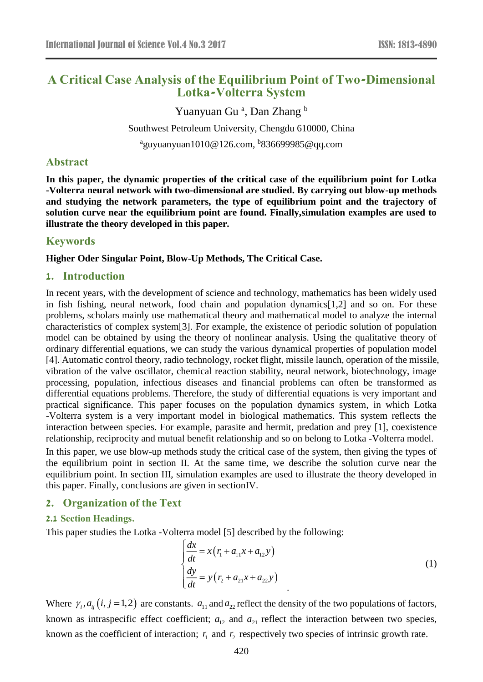# **A Critical Case Analysis of the Equilibrium Point of Two-Dimensional Lotka-Volterra System**

Yuanyuan Gu<sup>a</sup>, Dan Zhang b Southwest Petroleum University, Chengdu 610000, China <sup>a</sup>guyuanyuan1010@126.com, <sup>b</sup>836699985@qq.com

### **Abstract**

**In this paper, the dynamic properties of the critical case of the equilibrium point for Lotka -Volterra neural network with two-dimensional are studied. By carrying out blow-up methods and studying the network parameters, the type of equilibrium point and the trajectory of solution curve near the equilibrium point are found. Finally,simulation examples are used to illustrate the theory developed in this paper.**

### **Keywords**

**Higher Oder Singular Point, Blow-Up Methods, The Critical Case.** 

#### **1. Introduction**

In recent years, with the development of science and technology, mathematics has been widely used in fish fishing, neural network, food chain and population dynamics[1,2] and so on. For these problems, scholars mainly use mathematical theory and mathematical model to analyze the internal characteristics of complex system[3]. For example, the existence of periodic solution of population model can be obtained by using the theory of nonlinear analysis. Using the qualitative theory of ordinary differential equations, we can study the various dynamical properties of population model [4]. Automatic control theory, radio technology, rocket flight, missile launch, operation of the missile, vibration of the valve oscillator, chemical reaction stability, neural network, biotechnology, image processing, population, infectious diseases and financial problems can often be transformed as differential equations problems. Therefore, the study of differential equations is very important and practical significance. This paper focuses on the population dynamics system, in which Lotka -Volterra system is a very important model in biological mathematics. This system reflects the interaction between species. For example, parasite and hermit, predation and prey [1], coexistence relationship, reciprocity and mutual benefit relationship and so on belong to Lotka -Volterra model.

In this paper, we use blow-up methods study the critical case of the system, then giving the types of the equilibrium point in section II. At the same time, we describe the solution curve near the equilibrium point. In section III, simulation examples are used to illustrate the theory developed in this paper. Finally, conclusions are given in sectionIV.

## **2. Organization of the Text**

#### **2.1 Section Headings.**

This paper studies the Lotka -Volterra model [5] described by the following:

$$
\begin{cases}\n\frac{dx}{dt} = x(r_1 + a_{11}x + a_{12}y) \\
\frac{dy}{dt} = y(r_2 + a_{21}x + a_{22}y)\n\end{cases}
$$
\n(1)

Where  $\gamma_i$ ,  $a_{ij}$  (*i*, *j* = 1, 2) are constants.  $a_{11}$  and  $a_{22}$  reflect the density of the two populations of factors, known as intraspecific effect coefficient;  $a_{12}$  and  $a_{21}$  reflect the interaction between two species, known as the coefficient of interaction;  $r_1$  and  $r_2$  respectively two species of intrinsic growth rate.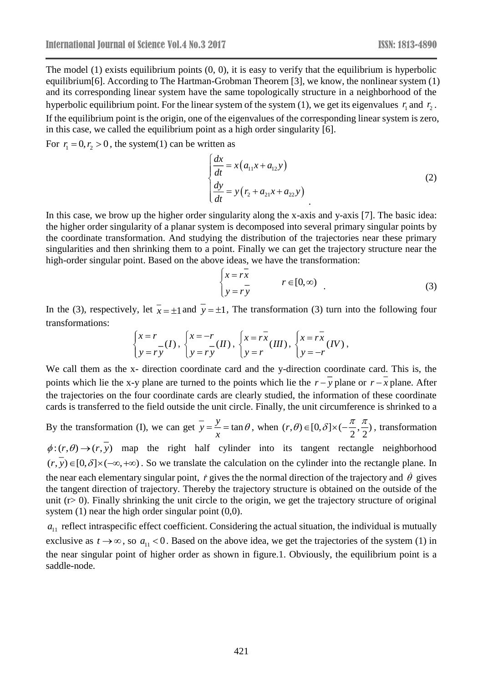The model (1) exists equilibrium points  $(0, 0)$ , it is easy to verify that the equilibrium is hyperbolic equilibrium[6]. According to The Hartman-Grobman Theorem [3], we know, the nonlinear system (1) and its corresponding linear system have the same topologically structure in a neighborhood of the hyperbolic equilibrium point. For the linear system of the system  $(1)$ , we get its eigenvalues  $r_1$  and  $r_2$ . If the equilibrium point is the origin, one of the eigenvalues of the corresponding linear system is zero, in this case, we called the equilibrium point as a high order singularity [6].

For  $r_1 = 0, r_2 > 0$ , the system(1) can be written as

$$
\begin{cases}\n\frac{dx}{dt} = x(a_{11}x + a_{12}y) \\
\frac{dy}{dt} = y(r_2 + a_{21}x + a_{22}y)\n\end{cases}
$$
\n(2)

In this case, we brow up the higher order singularity along the x-axis and y-axis [7]. The basic idea: the higher order singularity of a planar system is decomposed into several primary singular points by the coordinate transformation. And studying the distribution of the trajectories near these primary singularities and then shrinking them to a point. Finally we can get the trajectory structure near the high-order singular point. Based on the above ideas, we have the transformation:

$$
\begin{cases}\n x = r\overline{x} \\
 y = r\overline{y}\n\end{cases}\n r \in [0, \infty)
$$
\n(3)

In the (3), respectively, let  $\bar{x} = \pm 1$  and  $y = \pm 1$ , The transformation (3) turn into the following four transformations:

$$
\begin{cases} x = r \\ y = ry \end{cases} (I), \ \begin{cases} x = -r \\ y = ry \end{cases} (II), \ \begin{cases} x = r\overline{x} \\ y = r \end{cases} (III), \ \begin{cases} x = r\overline{x} \\ y = -r \end{cases} (IV),
$$

We call them as the x- direction coordinate card and the y-direction coordinate card. This is, the points which lie the x-y plane are turned to the points which lie the  $r - y$  plane or  $r - x$  plane. After the trajectories on the four coordinate cards are clearly studied, the information of these coordinate cards is transferred to the field outside the unit circle. Finally, the unit circumference is shrinked to a

By the transformation (I), we can get  $\overline{y} = \frac{y}{x} = \tan$  $=\frac{y}{x} = \tan \theta$ , when  $(r, \theta) \in [0, \delta] \times (-\frac{\pi}{2}, \frac{\pi}{2})$ , transformation  $\phi:(r,\theta) \to (r,\overline{y})$  map the right half cylinder into its tangent rectangle neighborhood  $(r, y) \in [0, \delta] \times (-\infty, +\infty)$ . So we translate the calculation on the cylinder into the rectangle plane. In the near each elementary singular point,  $\dot{r}$  gives the the normal direction of the trajectory and  $\dot{\theta}$  gives the tangent direction of trajectory. Thereby the trajectory structure is obtained on the outside of the unit ( $r > 0$ ). Finally shrinking the unit circle to the origin, we get the trajectory structure of original system  $(1)$  near the high order singular point  $(0,0)$ .

 $a_{11}$  reflect intraspecific effect coefficient. Considering the actual situation, the individual is mutually exclusive as  $t \to \infty$ , so  $a_{11} < 0$ . Based on the above idea, we get the trajectories of the system (1) in the near singular point of higher order as shown in figure.1. Obviously, the equilibrium point is a saddle-node.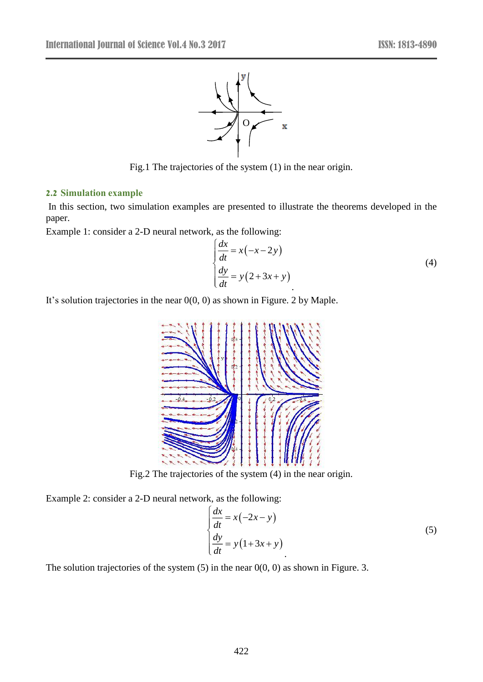

Fig.1 The trajectories of the system (1) in the near origin.

#### **2.2 Simulation example**

In this section, two simulation examples are presented to illustrate the theorems developed in the paper.

Example 1: consider a 2-D neural network, as the following:

$$
\begin{cases}\n\frac{dx}{dt} = x(-x-2y) \\
\frac{dy}{dt} = y(2+3x+y)\n\end{cases}
$$
\n(4)

It's solution trajectories in the near 0(0, 0) as shown in Figure. 2 by Maple.



Fig.2 The trajectories of the system (4) in the near origin.

Example 2: consider a 2-D neural network, as the following:

$$
\begin{cases}\n\frac{dx}{dt} = x(-2x - y) \\
\frac{dy}{dt} = y(1 + 3x + y)\n\end{cases} (5)
$$

The solution trajectories of the system  $(5)$  in the near  $0(0, 0)$  as shown in Figure. 3.